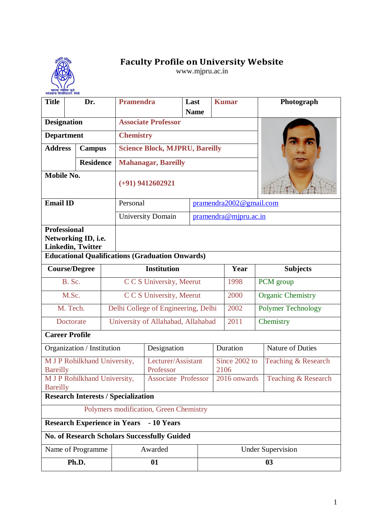## **Faculty Profile on University Website**

www.mjpru.ac.in

| रुहेलखण्ड विश्वविद्यालय, बरेली<br><b>Title</b>                         | Dr.              | <b>Pramendra</b>                                       |                                       | Last<br><b>Name</b> |                          | <b>Kumar</b>            | Photograph                |  |  |
|------------------------------------------------------------------------|------------------|--------------------------------------------------------|---------------------------------------|---------------------|--------------------------|-------------------------|---------------------------|--|--|
| <b>Designation</b>                                                     |                  |                                                        | <b>Associate Professor</b>            |                     |                          |                         |                           |  |  |
| <b>Department</b>                                                      |                  | <b>Chemistry</b>                                       |                                       |                     |                          |                         |                           |  |  |
| <b>Address</b>                                                         | <b>Campus</b>    |                                                        | <b>Science Block, MJPRU, Bareilly</b> |                     |                          |                         |                           |  |  |
|                                                                        | <b>Residence</b> |                                                        | <b>Mahanagar, Bareilly</b>            |                     |                          |                         |                           |  |  |
| <b>Mobile No.</b>                                                      |                  |                                                        | $(+91)$ 9412602921                    |                     |                          |                         |                           |  |  |
| <b>Email ID</b>                                                        |                  | Personal                                               |                                       |                     |                          | pramendra2002@gmail.com |                           |  |  |
|                                                                        |                  |                                                        | <b>University Domain</b>              |                     |                          | pramendra@mjpru.ac.in   |                           |  |  |
| <b>Professional</b><br>Networking ID, i.e.<br><b>Linkedin, Twitter</b> |                  |                                                        |                                       |                     |                          |                         |                           |  |  |
|                                                                        |                  | <b>Educational Qualifications (Graduation Onwards)</b> |                                       |                     |                          | Year                    |                           |  |  |
| <b>Course/Degree</b>                                                   |                  |                                                        | <b>Institution</b>                    |                     |                          |                         | <b>Subjects</b>           |  |  |
| B. Sc.                                                                 |                  |                                                        | C C S University, Meerut              |                     |                          |                         | PCM group                 |  |  |
| M.Sc.                                                                  |                  |                                                        | C C S University, Meerut              |                     |                          | 2000                    | <b>Organic Chemistry</b>  |  |  |
| M. Tech.                                                               |                  |                                                        | Delhi College of Engineering, Delhi   |                     |                          | 2002                    | <b>Polymer Technology</b> |  |  |
| Doctorate                                                              |                  |                                                        | University of Allahabad, Allahabad    |                     |                          |                         | Chemistry                 |  |  |
| <b>Career Profile</b>                                                  |                  |                                                        |                                       |                     |                          |                         |                           |  |  |
| Organization / Institution                                             |                  |                                                        | Designation                           |                     |                          | Duration                | Nature of Duties          |  |  |
| M J P Rohilkhand University,<br><b>Bareilly</b>                        |                  |                                                        | Lecturer/Assistant<br>Professor       |                     |                          | Since 2002 to<br>2106   | Teaching & Research       |  |  |
| M J P Rohilkhand University,<br><b>Bareilly</b>                        |                  |                                                        | <b>Associate Professor</b>            |                     |                          | 2016 onwards            | Teaching & Research       |  |  |
|                                                                        |                  | <b>Research Interests / Specialization</b>             |                                       |                     |                          |                         |                           |  |  |
|                                                                        |                  | Polymers modification, Green Chemistry                 |                                       |                     |                          |                         |                           |  |  |
|                                                                        |                  | <b>Research Experience in Years</b>                    | - 10 Years                            |                     |                          |                         |                           |  |  |
|                                                                        |                  | <b>No. of Research Scholars Successfully Guided</b>    |                                       |                     |                          |                         |                           |  |  |
| Name of Programme                                                      |                  |                                                        | Awarded                               |                     | <b>Under Supervision</b> |                         |                           |  |  |
|                                                                        | Ph.D.            |                                                        | 01                                    |                     | 0 <sub>3</sub>           |                         |                           |  |  |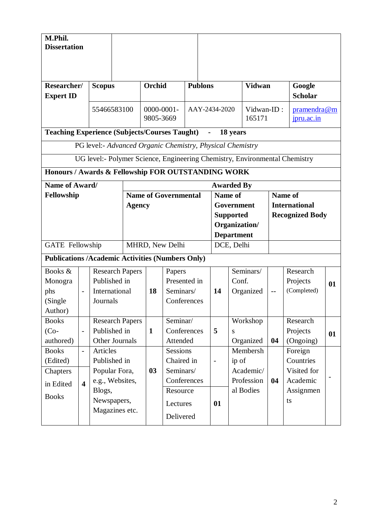| M.Phil.<br><b>Dissertation</b>                          |                          |                               |                        |                              |                           |                |                          |                                 |                                                                            |                      |                           |    |  |  |
|---------------------------------------------------------|--------------------------|-------------------------------|------------------------|------------------------------|---------------------------|----------------|--------------------------|---------------------------------|----------------------------------------------------------------------------|----------------------|---------------------------|----|--|--|
|                                                         |                          |                               |                        |                              |                           |                |                          |                                 |                                                                            |                      |                           |    |  |  |
| Researcher/<br><b>Expert ID</b>                         |                          | <b>Scopus</b>                 |                        | Orchid                       |                           | <b>Publons</b> |                          |                                 | <b>Vidwan</b>                                                              |                      | Google<br><b>Scholar</b>  |    |  |  |
|                                                         |                          | 55466583100                   |                        | $0000 - 0001 -$<br>9805-3669 |                           |                |                          | AAY-2434-2020                   | Vidwan-ID:<br>165171                                                       |                      | pramendra@m<br>jpru.ac.in |    |  |  |
| <b>Teaching Experience (Subjects/Courses Taught)</b>    |                          |                               |                        |                              |                           |                |                          |                                 | 18 years                                                                   |                      |                           |    |  |  |
|                                                         |                          |                               |                        |                              |                           |                |                          |                                 | PG level:- Advanced Organic Chemistry, Physical Chemistry                  |                      |                           |    |  |  |
|                                                         |                          |                               |                        |                              |                           |                |                          |                                 | UG level:- Polymer Science, Engineering Chemistry, Environmental Chemistry |                      |                           |    |  |  |
| Honours / Awards & Fellowship FOR OUTSTANDING WORK      |                          |                               |                        |                              |                           |                |                          |                                 |                                                                            |                      |                           |    |  |  |
| Name of Award/                                          |                          |                               |                        |                              |                           |                |                          |                                 | <b>Awarded By</b>                                                          |                      |                           |    |  |  |
| Fellowship                                              |                          |                               |                        |                              | Name of Governmental      |                |                          | Name of                         |                                                                            |                      | Name of                   |    |  |  |
|                                                         |                          |                               |                        | <b>Agency</b>                |                           |                |                          |                                 | Government                                                                 | <b>International</b> |                           |    |  |  |
|                                                         |                          |                               |                        |                              |                           |                |                          |                                 | <b>Supported</b>                                                           |                      | <b>Recognized Body</b>    |    |  |  |
|                                                         |                          |                               |                        |                              |                           |                |                          |                                 | Organization/                                                              |                      |                           |    |  |  |
| <b>GATE</b> Fellowship                                  |                          |                               |                        | MHRD, New Delhi              |                           |                |                          | <b>Department</b><br>DCE, Delhi |                                                                            |                      |                           |    |  |  |
|                                                         |                          |                               |                        |                              |                           |                |                          |                                 |                                                                            |                      |                           |    |  |  |
| <b>Publications /Academic Activities (Numbers Only)</b> |                          |                               |                        |                              |                           |                |                          |                                 |                                                                            |                      |                           |    |  |  |
| Books &                                                 |                          |                               | <b>Research Papers</b> |                              | Papers                    |                |                          |                                 | Seminars/                                                                  |                      | Research                  |    |  |  |
| Monogra                                                 |                          | Published in<br>International |                        | 18                           | Presented in<br>Seminars/ |                |                          | 14                              | Conf.                                                                      |                      | Projects<br>(Completed)   | 01 |  |  |
| phs<br>(Single                                          | $\overline{a}$           | Journals                      |                        |                              | Conferences               |                |                          |                                 | Organized                                                                  | $-$                  |                           |    |  |  |
| Author)                                                 |                          |                               |                        |                              |                           |                |                          |                                 |                                                                            |                      |                           |    |  |  |
| <b>Books</b>                                            |                          |                               | <b>Research Papers</b> |                              | Seminar/                  |                |                          |                                 | Workshop                                                                   |                      | Research                  |    |  |  |
| $(Co-$                                                  | $\overline{a}$           | Published in                  |                        | $\mathbf{1}$                 | Conferences               |                |                          | 5                               | S                                                                          |                      | Projects                  | 01 |  |  |
| authored)                                               |                          |                               | Other Journals         |                              | Attended                  |                |                          |                                 | Organized                                                                  | 04                   | (Ongoing)                 |    |  |  |
| <b>Books</b>                                            | $\overline{\phantom{a}}$ | Articles                      |                        |                              | <b>Sessions</b>           |                |                          |                                 | Membersh                                                                   |                      | Foreign                   |    |  |  |
| (Edited)                                                |                          | Published in                  |                        |                              | Chaired in                |                | $\overline{\phantom{m}}$ | ip of                           |                                                                            | Countries            |                           |    |  |  |
| Chapters                                                |                          | Popular Fora,                 |                        | 03                           | Seminars/                 |                |                          |                                 | Academic/                                                                  |                      | Visited for               |    |  |  |
| in Edited                                               | $\overline{\mathbf{4}}$  |                               | e.g., Websites,        |                              | Conferences               |                |                          |                                 | Profession<br>al Bodies                                                    | 04                   | Academic                  |    |  |  |
| <b>Books</b>                                            |                          | Blogs,<br>Newspapers,         |                        |                              | Resource                  |                |                          |                                 |                                                                            |                      | Assignmen<br>ts           |    |  |  |
|                                                         |                          |                               | Magazines etc.         |                              | Lectures                  |                |                          | 01                              |                                                                            |                      |                           |    |  |  |
|                                                         |                          |                               |                        |                              | Delivered                 |                |                          |                                 |                                                                            |                      |                           |    |  |  |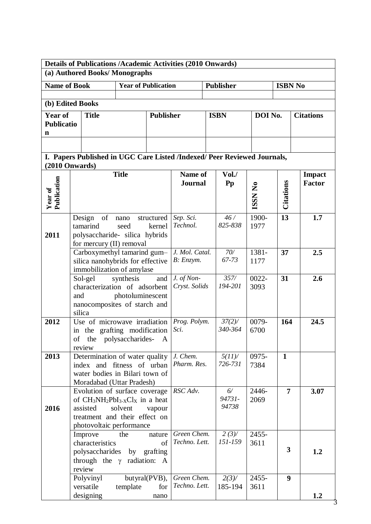|                        | <b>Details of Publications /Academic Activities (2010 Onwards)</b>              |                            |                  |                             |                  |         |                  |                  |  |
|------------------------|---------------------------------------------------------------------------------|----------------------------|------------------|-----------------------------|------------------|---------|------------------|------------------|--|
|                        | (a) Authored Books/Monographs                                                   |                            |                  |                             |                  |         |                  |                  |  |
| <b>Name of Book</b>    |                                                                                 | <b>Year of Publication</b> |                  |                             | <b>Publisher</b> |         | <b>ISBN No</b>   |                  |  |
|                        |                                                                                 |                            |                  |                             |                  |         |                  |                  |  |
|                        | (b) Edited Books                                                                |                            |                  |                             |                  |         |                  |                  |  |
| <b>Year of</b>         | <b>Title</b>                                                                    |                            | <b>Publisher</b> |                             | <b>ISBN</b>      | DOI No. |                  | <b>Citations</b> |  |
| <b>Publicatio</b>      |                                                                                 |                            |                  |                             |                  |         |                  |                  |  |
| n                      |                                                                                 |                            |                  |                             |                  |         |                  |                  |  |
|                        |                                                                                 |                            |                  |                             |                  |         |                  |                  |  |
|                        |                                                                                 |                            |                  |                             |                  |         |                  |                  |  |
|                        | I. Papers Published in UGC Care Listed /Indexed/ Peer Reviewed Journals,        |                            |                  |                             |                  |         |                  |                  |  |
|                        | $(2010$ Onwards)                                                                |                            |                  |                             |                  |         |                  |                  |  |
|                        |                                                                                 | <b>Title</b>               |                  | Name of                     | Vol. /           |         |                  | <b>Impact</b>    |  |
|                        |                                                                                 |                            |                  | <b>Journal</b>              | Pp               | ISSN No | Citations        | <b>Factor</b>    |  |
|                        |                                                                                 |                            |                  |                             |                  |         |                  |                  |  |
| Year of<br>Publication |                                                                                 |                            |                  |                             |                  |         |                  |                  |  |
|                        | of<br>Design                                                                    | nano                       | structured       | Sep. Sci.                   | 46/              | 1900-   | 13               | 1.7              |  |
|                        | tamarind                                                                        | seed                       | kernel           | Technol.                    | 825-838          | 1977    |                  |                  |  |
| 2011                   | polysaccharide- silica hybrids                                                  |                            |                  |                             |                  |         |                  |                  |  |
|                        | for mercury (II) removal                                                        |                            |                  |                             |                  |         |                  |                  |  |
|                        | Carboxymethyl tamarind gum-                                                     |                            |                  | J. Mol. Catal.              | 70/              | 1381-   | 37               | 2.5              |  |
|                        | silica nanohybrids for effective                                                |                            |                  | B: Enzym.                   | 67-73            | 1177    |                  |                  |  |
|                        | immobilization of amylase                                                       |                            |                  |                             |                  |         |                  |                  |  |
|                        | Sol-gel                                                                         | synthesis                  | and              | J. of Non-<br>Cryst. Solids | 357/<br>194-201  | 0022-   | 31               | 2.6              |  |
|                        | characterization of adsorbent<br>and                                            |                            |                  |                             |                  | 3093    |                  |                  |  |
|                        | nanocomposites of starch and                                                    | photoluminescent           |                  |                             |                  |         |                  |                  |  |
|                        | silica                                                                          |                            |                  |                             |                  |         |                  |                  |  |
| 2012                   | Use of microwave irradiation                                                    |                            |                  | Prog. Polym.                | $37(2)$ /        | 0079-   | 164              | 24.5             |  |
|                        | in the grafting modification                                                    |                            |                  | Sci.                        | 340-364          | 6700    |                  |                  |  |
|                        | of the polysaccharides- A                                                       |                            |                  |                             |                  |         |                  |                  |  |
|                        | review                                                                          |                            |                  |                             |                  |         |                  |                  |  |
| 2013                   | Determination of water quality                                                  |                            |                  | J. Chem.                    | $5(11)$ /        | 0975-   | $\mathbf{1}$     |                  |  |
|                        | index and fitness of urban                                                      |                            |                  | Pharm. Res.                 | 726-731          | 7384    |                  |                  |  |
|                        | water bodies in Bilari town of                                                  |                            |                  |                             |                  |         |                  |                  |  |
|                        | Moradabad (Uttar Pradesh)                                                       |                            |                  | RSC Adv.                    | 6/               | 2446-   | $\overline{7}$   |                  |  |
|                        | Evolution of surface coverage<br>of $CH_3NH_2PbI_3$ -xCl <sub>X</sub> in a heat |                            |                  |                             | 94731-           | 2069    |                  | 3.07             |  |
| 2016                   | assisted                                                                        | solvent                    | vapour           |                             | 94738            |         |                  |                  |  |
|                        | treatment and their effect on                                                   |                            |                  |                             |                  |         |                  |                  |  |
|                        | photovoltaic performance                                                        |                            |                  |                             |                  |         |                  |                  |  |
|                        | Improve                                                                         | the                        | nature           | Green Chem.                 | 2(3)/            | 2455-   |                  |                  |  |
|                        | characteristics                                                                 |                            | of               | Techno. Lett.               | 151-159          | 3611    |                  |                  |  |
|                        | polysaccharides                                                                 | by                         | grafting         |                             |                  |         | 3                | 1.2              |  |
|                        | through the $\gamma$ radiation: A                                               |                            |                  |                             |                  |         |                  |                  |  |
|                        | review                                                                          |                            |                  |                             |                  |         |                  |                  |  |
|                        | Polyvinyl                                                                       |                            | butyral(PVB),    | Green Chem.                 | 2(3)/            | 2455-   | $\boldsymbol{9}$ |                  |  |
|                        | versatile                                                                       | template                   | for              | Techno. Lett.               | 185-194          | 3611    |                  |                  |  |
|                        | designing                                                                       |                            | nano             |                             |                  |         |                  | 1.2              |  |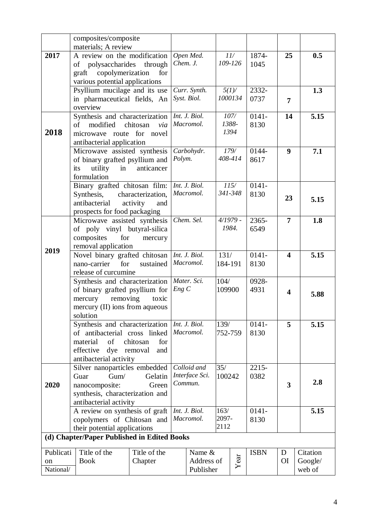|                              | composites/composite                                                                                                                  |                                      |          |                                          |                       |                       |                  |                         |                               |
|------------------------------|---------------------------------------------------------------------------------------------------------------------------------------|--------------------------------------|----------|------------------------------------------|-----------------------|-----------------------|------------------|-------------------------|-------------------------------|
|                              | materials; A review                                                                                                                   |                                      |          |                                          |                       |                       |                  |                         |                               |
| 2017                         | A review on the modification<br>of polysaccharides through<br>copolymerization<br>graft<br>various potential applications             | for                                  | Chem. J. | Open Med.                                |                       | 11/<br>109-126        | 1874-<br>1045    | 25                      | 0.5                           |
|                              | Psyllium mucilage and its use<br>in pharmaceutical fields, An<br>overview                                                             |                                      |          | Curr. Synth.<br>Syst. Biol.              |                       | $5(1)$ /<br>1000134   | 2332-<br>0737    | $\overline{7}$          | 1.3                           |
| 2018                         | Synthesis and characterization<br>of modified chitosan<br>microwave route for novel<br>antibacterial application                      | via                                  |          | Int. J. Biol.<br>Macromol.               |                       | 107/<br>1388-<br>1394 | $0141 -$<br>8130 | 14                      | 5.15                          |
|                              | Microwave assisted synthesis<br>of binary grafted psyllium and<br>utility<br>in<br>its<br>formulation                                 | anticancer                           | Polym.   | Carbohydr.                               |                       | 179/<br>408-414       | 0144-<br>8617    | 9                       | 7.1                           |
|                              | Binary grafted chitosan film:<br>Synthesis,<br>antibacterial<br>prospects for food packaging                                          | characterization,<br>activity<br>and |          | Int. J. Biol.<br>Macromol.               |                       | 115/<br>341-348       | $0141 -$<br>8130 | 23                      | 5.15                          |
| 2019                         | Microwave assisted synthesis<br>of poly vinyl butyral-silica<br>composites<br>for<br>removal application                              | mercury                              |          | Chem. Sel.                               |                       | $4/1979$ -<br>1984.   | 2365-<br>6549    | $\overline{7}$          | 1.8                           |
|                              | Novel binary grafted chitosan<br>for<br>nano-carrier<br>release of curcumine                                                          | sustained                            |          | Int. J. Biol.<br>Macromol.               | 131/<br>184-191       |                       | $0141 -$<br>8130 | $\overline{\mathbf{4}}$ | 5.15                          |
|                              | Synthesis and characterization<br>of binary grafted psyllium for<br>removing<br>mercury<br>mercury (II) ions from aqueous<br>solution | toxic                                | Eng C    | Mater. Sci.                              | 104/<br>109900        |                       | 0928-<br>4931    | $\overline{\mathbf{4}}$ | 5.88                          |
|                              | Synthesis and characterization<br>of antibacterial cross linked<br>of<br>material<br>effective<br>dye<br>antibacterial activity       | chitosan<br>for<br>removal<br>and    |          | Int. J. Biol.<br>Macromol.               | 139/<br>752-759       |                       | $0141 -$<br>8130 | 5                       | 5.15                          |
| 2020                         | Silver nanoparticles embedded<br>Gum/<br>Guar<br>nanocomposite:<br>synthesis, characterization and<br>antibacterial activity          | Gelatin<br>Green                     |          | Colloid and<br>Interface Sci.<br>Commun. | 35/<br>100242         |                       | 2215-<br>0382    | 3                       | 2.8                           |
|                              | A review on synthesis of graft<br>copolymers of Chitosan and<br>their potential applications                                          |                                      |          | Int. J. Biol.<br>Macromol.               | 163/<br>2097-<br>2112 |                       | $0141 -$<br>8130 |                         | 5.15                          |
|                              | (d) Chapter/Paper Published in Edited Books                                                                                           |                                      |          |                                          |                       |                       |                  |                         |                               |
| Publicati<br>on<br>National/ | Title of the<br><b>Book</b>                                                                                                           | Title of the<br>Chapter              |          | Name &<br>Address of<br>Publisher        |                       | Year                  | <b>ISBN</b>      | D<br><b>OI</b>          | Citation<br>Google/<br>web of |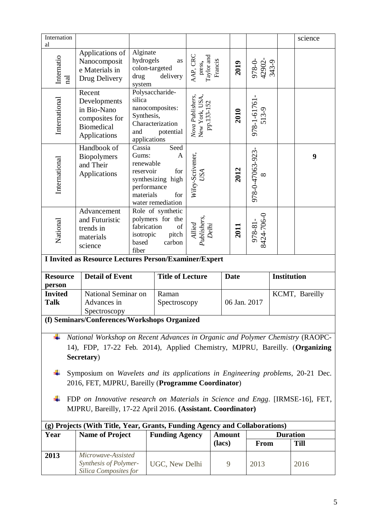| Internation<br>al                |                                                                                                                                                                            |                                                                       |                                                                     |                                                  |               |                              |                    | science     |  |
|----------------------------------|----------------------------------------------------------------------------------------------------------------------------------------------------------------------------|-----------------------------------------------------------------------|---------------------------------------------------------------------|--------------------------------------------------|---------------|------------------------------|--------------------|-------------|--|
| Internatio<br>$\rm \overline{a}$ | Applications of<br>Nanocomposit<br>e Materials in<br>Drug Delivery                                                                                                         | Alginate<br>hydrogels<br>colon-targeted<br>drug<br>system             | as<br>delivery                                                      | AAP, CRC<br>press,<br>Taylor and<br>Francis      | 2019          | 978-0-<br>42902-<br>343-9    |                    |             |  |
| International                    | Recent<br>Developments<br>in Bio-Nano<br>composites for<br><b>Biomedical</b><br>Applications                                                                               | silica<br>Synthesis,<br>and<br>applications                           | Polysaccharide-<br>nanocomposites:<br>Characterization<br>potential | Nova Publishers,<br>New York, USA,<br>pp.133-152 | 2010          | $978 - 1 - 61761$            |                    |             |  |
| International                    | Handbook of<br><b>Biopolymers</b><br>and Their<br>Applications                                                                                                             | Cassia<br>Gums:<br>renewable<br>reservoir<br>performance<br>materials | Seed<br>A<br>for<br>synthesizing high<br>for<br>water remediation   | Wiley-Scrivener,<br>USA                          | 2012          | 978-0-47063-923-<br>$\infty$ |                    | 9           |  |
| National                         | Advancement<br>and Futuristic<br>trends in<br>materials<br>science                                                                                                         | fabrication<br>isotropic<br>based<br>fiber                            | Role of synthetic<br>polymers for the<br>of<br>pitch<br>carbon      | Publishers,<br>Allied<br>Delhi                   | 2011          | 978-81-<br>8424-706-0        |                    |             |  |
|                                  | I Invited as Resource Lectures Person/Examiner/Expert                                                                                                                      |                                                                       |                                                                     |                                                  |               |                              |                    |             |  |
| <b>Resource</b><br>person        | <b>Detail of Event</b>                                                                                                                                                     |                                                                       | <b>Title of Lecture</b>                                             |                                                  | <b>Date</b>   |                              | <b>Institution</b> |             |  |
| <b>Invited</b><br><b>Talk</b>    | National Seminar on<br>Advances in<br>Spectroscopy                                                                                                                         |                                                                       | Raman<br>Spectroscopy                                               |                                                  | 06 Jan. 2017  |                              | KCMT, Bareilly     |             |  |
|                                  | (f) Seminars/Conferences/Workshops Organized                                                                                                                               |                                                                       |                                                                     |                                                  |               |                              |                    |             |  |
| ÷                                | National Workshop on Recent Advances in Organic and Polymer Chemistry (RAOPC-<br>14), FDP, 17-22 Feb. 2014), Applied Chemistry, MJPRU, Bareilly. (Organizing<br>Secretary) |                                                                       |                                                                     |                                                  |               |                              |                    |             |  |
|                                  | Symposium on Wavelets and its applications in Engineering problems, 20-21 Dec.<br>2016, FET, MJPRU, Bareilly (Programme Coordinator)                                       |                                                                       |                                                                     |                                                  |               |                              |                    |             |  |
|                                  | FDP on Innovative research on Materials in Science and Engg. [IRMSE-16], FET,<br>MJPRU, Bareilly, 17-22 April 2016. (Assistant. Coordinator)                               |                                                                       |                                                                     |                                                  |               |                              |                    |             |  |
|                                  |                                                                                                                                                                            |                                                                       |                                                                     |                                                  |               |                              |                    |             |  |
| Year                             | (g) Projects (With Title, Year, Grants, Funding Agency and Collaborations)<br><b>Name of Project</b>                                                                       |                                                                       | <b>Funding Agency</b>                                               |                                                  | <b>Amount</b> |                              | <b>Duration</b>    |             |  |
|                                  |                                                                                                                                                                            |                                                                       |                                                                     |                                                  |               |                              |                    |             |  |
|                                  |                                                                                                                                                                            |                                                                       |                                                                     |                                                  | (lacs)        | <b>From</b>                  |                    | <b>Till</b> |  |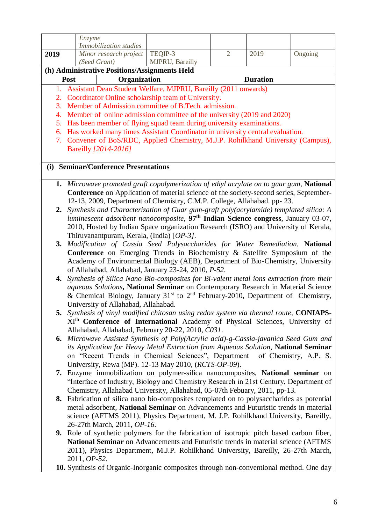|      | Enzyme                                                                                                                                                    |              |                 |  |                |                                                                                                         |         |  |
|------|-----------------------------------------------------------------------------------------------------------------------------------------------------------|--------------|-----------------|--|----------------|---------------------------------------------------------------------------------------------------------|---------|--|
| 2019 | Immobilization studies<br>Minor research project                                                                                                          |              | TEQIP-3         |  | $\overline{2}$ | 2019                                                                                                    | Ongoing |  |
|      | (Seed Grant)                                                                                                                                              |              | MJPRU, Bareilly |  |                |                                                                                                         |         |  |
|      | (h) Administrative Positions/Assignments Held                                                                                                             |              |                 |  |                |                                                                                                         |         |  |
|      | Post                                                                                                                                                      | Organization |                 |  |                | <b>Duration</b>                                                                                         |         |  |
| 1.   | Assistant Dean Student Welfare, MJPRU, Bareilly (2011 onwards)                                                                                            |              |                 |  |                |                                                                                                         |         |  |
| 2.   | Coordinator Online scholarship team of University.                                                                                                        |              |                 |  |                |                                                                                                         |         |  |
| 3.   | Member of Admission committee of B.Tech. admission.                                                                                                       |              |                 |  |                |                                                                                                         |         |  |
| 4.   | Member of online admission committee of the university (2019 and 2020)<br>5. Has been member of flying squad team during university examinations.         |              |                 |  |                |                                                                                                         |         |  |
|      | 6. Has worked many times Assistant Coordinator in university central evaluation.                                                                          |              |                 |  |                |                                                                                                         |         |  |
|      | 7. Convener of BoS/RDC, Applied Chemistry, M.J.P. Rohilkhand University (Campus),                                                                         |              |                 |  |                |                                                                                                         |         |  |
|      | Bareilly [2014-2016]                                                                                                                                      |              |                 |  |                |                                                                                                         |         |  |
|      |                                                                                                                                                           |              |                 |  |                |                                                                                                         |         |  |
| (i)  | <b>Seminar/Conference Presentations</b>                                                                                                                   |              |                 |  |                |                                                                                                         |         |  |
|      |                                                                                                                                                           |              |                 |  |                |                                                                                                         |         |  |
|      | 1. Microwave promoted graft copolymerization of ethyl acrylate on to guar gum, National                                                                   |              |                 |  |                |                                                                                                         |         |  |
|      |                                                                                                                                                           |              |                 |  |                | <b>Conference</b> on Application of material science of the society-second series, September-           |         |  |
|      |                                                                                                                                                           |              |                 |  |                | 12-13, 2009, Department of Chemistry, C.M.P. College, Allahabad. pp-23.                                 |         |  |
| 2.   | Synthesis and Characterization of Guar gum-graft poly(acrylamide) templated silica: A                                                                     |              |                 |  |                | luminescent adsorbent nanocomposite, 97 <sup>th</sup> Indian Science congress, January 03-07,           |         |  |
|      |                                                                                                                                                           |              |                 |  |                | 2010, Hosted by Indian Space organization Research (ISRO) and University of Kerala,                     |         |  |
|      | Thiruvanantpuram, Kerala, (India) [OP-3].                                                                                                                 |              |                 |  |                |                                                                                                         |         |  |
| 3.   |                                                                                                                                                           |              |                 |  |                |                                                                                                         |         |  |
|      | Modification of Cassia Seed Polysaccharides for Water Remediation, National<br>Conference on Emerging Trends in Biochemistry & Satellite Symposium of the |              |                 |  |                |                                                                                                         |         |  |
|      | Academy of Environmental Biology (AEB), Department of Bio-Chemistry, University                                                                           |              |                 |  |                |                                                                                                         |         |  |
|      | of Allahabad, Allahabad, January 23-24, 2010, P-52.                                                                                                       |              |                 |  |                |                                                                                                         |         |  |
|      | 4. Synthesis of Silica Nano Bio-composites for Bi-valent metal ions extraction from their                                                                 |              |                 |  |                |                                                                                                         |         |  |
|      |                                                                                                                                                           |              |                 |  |                | aqueous Solutions, National Seminar on Contemporary Research in Material Science                        |         |  |
|      | University of Allahabad, Allahabad.                                                                                                                       |              |                 |  |                | & Chemical Biology, January 31 <sup>st</sup> to 2 <sup>nd</sup> February-2010, Department of Chemistry, |         |  |
|      | 5. Synthesis of vinyl modified chitosan using redox system via thermal route, CONIAPS-                                                                    |              |                 |  |                |                                                                                                         |         |  |
|      |                                                                                                                                                           |              |                 |  |                | XI <sup>th</sup> Conference of International Academy of Physical Sciences, University of                |         |  |
|      | Allahabad, Allahabad, February 20-22, 2010, C031.                                                                                                         |              |                 |  |                |                                                                                                         |         |  |
|      | <b>6.</b> Microwave Assisted Synthesis of Poly(Acrylic acid)-g-Cassia-javanica Seed Gum and                                                               |              |                 |  |                |                                                                                                         |         |  |
|      |                                                                                                                                                           |              |                 |  |                | its Application for Heavy Metal Extraction from Aqueous Solution, National Seminar                      |         |  |
|      |                                                                                                                                                           |              |                 |  |                | on "Recent Trends in Chemical Sciences", Department of Chemistry, A.P. S.                               |         |  |
|      | University, Rewa (MP). 12-13 May 2010, ( <i>RCTS-OP-09</i> ).                                                                                             |              |                 |  |                |                                                                                                         |         |  |
|      | 7. Enzyme immobilization on polymer-silica nanocomposites, National seminar on                                                                            |              |                 |  |                | "Interface of Industry, Biology and Chemistry Research in 21st Century, Department of                   |         |  |
|      |                                                                                                                                                           |              |                 |  |                | Chemistry, Allahabad University, Allahabad, 05-07th Febuary, 2011, pp-13.                               |         |  |
|      | 8. Fabrication of silica nano bio-composites templated on to polysaccharides as potential                                                                 |              |                 |  |                |                                                                                                         |         |  |
|      |                                                                                                                                                           |              |                 |  |                | metal adsorbent, National Seminar on Advancements and Futuristic trends in material                     |         |  |
|      |                                                                                                                                                           |              |                 |  |                | science (AFTMS 2011), Physics Department, M. J.P. Rohilkhand University, Bareilly,                      |         |  |
|      | 26-27th March, 2011, OP-16.                                                                                                                               |              |                 |  |                |                                                                                                         |         |  |
|      | 9. Role of synthetic polymers for the fabrication of isotropic pitch based carbon fiber,                                                                  |              |                 |  |                |                                                                                                         |         |  |
|      |                                                                                                                                                           |              |                 |  |                | National Seminar on Advancements and Futuristic trends in material science (AFTMS                       |         |  |
|      |                                                                                                                                                           |              |                 |  |                | 2011), Physics Department, M.J.P. Rohilkhand University, Bareilly, 26-27th March,                       |         |  |
|      | 2011, <i>OP-52</i> .                                                                                                                                      |              |                 |  |                |                                                                                                         |         |  |
|      | 10. Synthesis of Organic-Inorganic composites through non-conventional method. One day                                                                    |              |                 |  |                |                                                                                                         |         |  |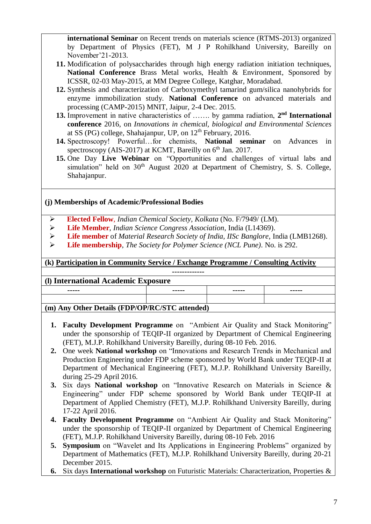**international Seminar** on Recent trends on materials science (RTMS-2013) organized by Department of Physics (FET), M J P Rohilkhand University, Bareilly on November'21-2013.

- **11.** Modification of polysaccharides through high energy radiation initiation techniques, **National Conference** Brass Metal works, Health & Environment, Sponsored by ICSSR, 02-03 May-2015, at MM Degree College, Katghar, Moradabad.
- **12.** Synthesis and characterization of Carboxymethyl tamarind gum/silica nanohybrids for enzyme immobilization study. **National Conference** on advanced materials and processing (CAMP-2015) MNIT, Jaipur, 2-4 Dec. 2015.
- 13. Improvement in native characteristics of ....... by gamma radiation, 2<sup>nd</sup> International **conference** 2016, on *Innovations in chemical, biological and Environmental Sciences* at SS (PG) college, Shahajanpur, UP, on  $12<sup>th</sup>$  February, 2016.
- **14.** Spectroscopy! Powerful…for chemists, **National seminar** on Advances in spectroscopy (AIS-2017) at KCMT, Bareilly on  $6<sup>th</sup>$  Jan. 2017.
- **15.** One Day **Live Webinar** on "Opportunities and challenges of virtual labs and simulation" held on  $30<sup>th</sup>$  August 2020 at Department of Chemistry, S. S. College, Shahajanpur.

## **(j) Memberships of Academic/Professional Bodies**

- **Elected Fellow**, *Indian Chemical Society, Kolkata* (No. F/7949/ (LM).
- **Life Member**, *Indian Science Congress Association*, India (L14369).
- **Life member** of *Material Research Society of India, IISc Banglore*, India (LMB1268).
- **Life membership**, *The Society for Polymer Science (NCL Pune)*. No. is 292.

**(k) Participation in Community Service / Exchange Programme / Consulting Activity**

## **(l) International Academic Exposure**

| -----                                          | ----- | ----- | ------ |  |
|------------------------------------------------|-------|-------|--------|--|
|                                                |       |       |        |  |
| (m) Any Other Details (FDP/OP/RC/STC attended) |       |       |        |  |
|                                                |       |       |        |  |

**-------------**

- **1. Faculty Development Programme** on "Ambient Air Quality and Stack Monitoring" under the sponsorship of TEQIP-II organized by Department of Chemical Engineering (FET), M.J.P. Rohilkhand University Bareilly, during 08-10 Feb. 2016.
- **2.** One week **National workshop** on "Innovations and Research Trends in Mechanical and Production Engineering under FDP scheme sponsored by World Bank under TEQIP-II at Department of Mechanical Engineering (FET), M.J.P. Rohilkhand University Bareilly, during 25-29 April 2016.
- **3.** Six days **National workshop** on "Innovative Research on Materials in Science & Engineering" under FDP scheme sponsored by World Bank under TEQIP-II at Department of Applied Chemistry (FET), M.J.P. Rohilkhand University Bareilly, during 17-22 April 2016.
- **4. Faculty Development Programme** on "Ambient Air Quality and Stack Monitoring" under the sponsorship of TEQIP-II organized by Department of Chemical Engineering (FET), M.J.P. Rohilkhand University Bareilly, during 08-10 Feb. 2016
- **5. Symposium** on "Wavelet and Its Applications in Engineering Problems" organized by Department of Mathematics (FET), M.J.P. Rohilkhand University Bareilly, during 20-21 December 2015.
- **6.** Six days **International workshop** on Futuristic Materials: Characterization, Properties &